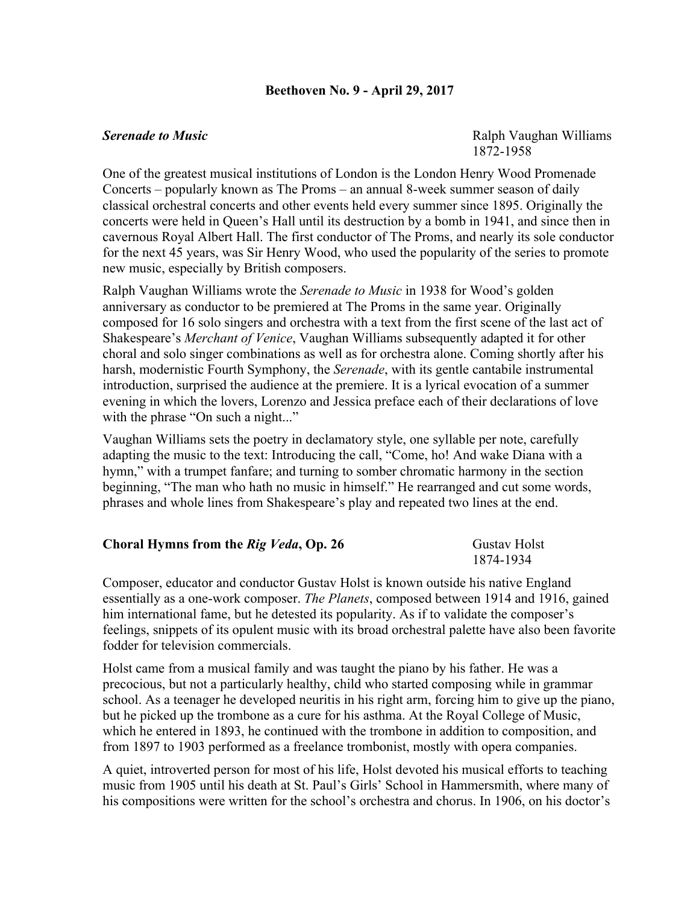## **Beethoven No. 9 - April 29, 2017**

**Serenade to Music** Ralph Vaughan Williams 1872-1958

One of the greatest musical institutions of London is the London Henry Wood Promenade Concerts – popularly known as The Proms – an annual 8-week summer season of daily classical orchestral concerts and other events held every summer since 1895. Originally the concerts were held in Queen's Hall until its destruction by a bomb in 1941, and since then in cavernous Royal Albert Hall. The first conductor of The Proms, and nearly its sole conductor for the next 45 years, was Sir Henry Wood, who used the popularity of the series to promote new music, especially by British composers.

Ralph Vaughan Williams wrote the *Serenade to Music* in 1938 for Wood's golden anniversary as conductor to be premiered at The Proms in the same year. Originally composed for 16 solo singers and orchestra with a text from the first scene of the last act of Shakespeare's *Merchant of Venice*, Vaughan Williams subsequently adapted it for other choral and solo singer combinations as well as for orchestra alone. Coming shortly after his harsh, modernistic Fourth Symphony, the *Serenade*, with its gentle cantabile instrumental introduction, surprised the audience at the premiere. It is a lyrical evocation of a summer evening in which the lovers, Lorenzo and Jessica preface each of their declarations of love with the phrase "On such a night..."

Vaughan Williams sets the poetry in declamatory style, one syllable per note, carefully adapting the music to the text: Introducing the call, "Come, ho! And wake Diana with a hymn," with a trumpet fanfare; and turning to somber chromatic harmony in the section beginning, "The man who hath no music in himself." He rearranged and cut some words, phrases and whole lines from Shakespeare's play and repeated two lines at the end.

| Choral Hymns from the Rig Veda, Op. 26 | <b>Gustav Holst</b> |
|----------------------------------------|---------------------|
|                                        | 1874-1934           |

Composer, educator and conductor Gustav Holst is known outside his native England essentially as a one-work composer. *The Planets*, composed between 1914 and 1916, gained him international fame, but he detested its popularity. As if to validate the composer's feelings, snippets of its opulent music with its broad orchestral palette have also been favorite fodder for television commercials.

Holst came from a musical family and was taught the piano by his father. He was a precocious, but not a particularly healthy, child who started composing while in grammar school. As a teenager he developed neuritis in his right arm, forcing him to give up the piano, but he picked up the trombone as a cure for his asthma. At the Royal College of Music, which he entered in 1893, he continued with the trombone in addition to composition, and from 1897 to 1903 performed as a freelance trombonist, mostly with opera companies.

A quiet, introverted person for most of his life, Holst devoted his musical efforts to teaching music from 1905 until his death at St. Paul's Girls' School in Hammersmith, where many of his compositions were written for the school's orchestra and chorus. In 1906, on his doctor's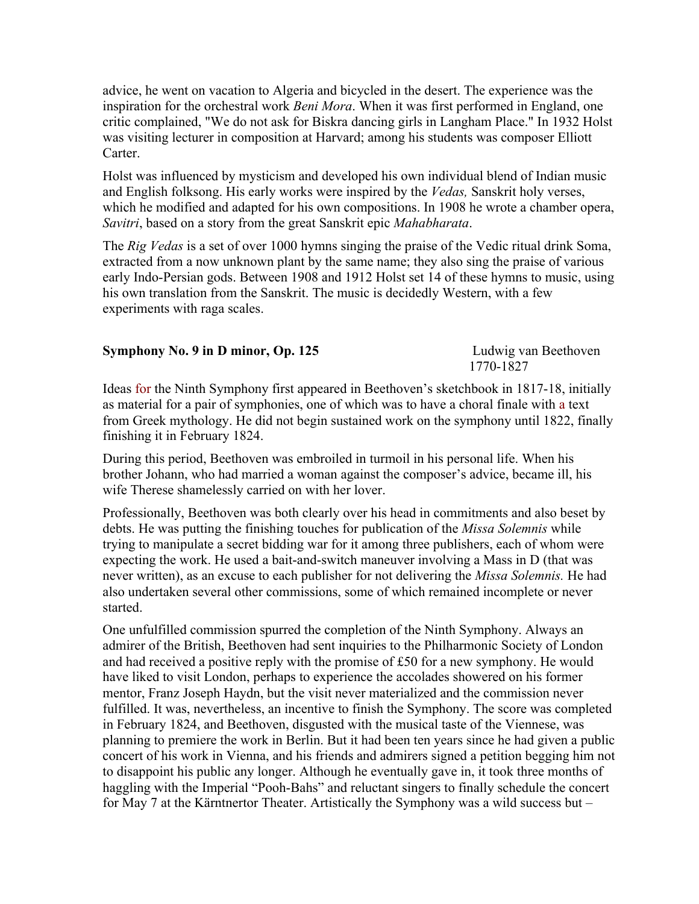advice, he went on vacation to Algeria and bicycled in the desert. The experience was the inspiration for the orchestral work *Beni Mora*. When it was first performed in England, one critic complained, "We do not ask for Biskra dancing girls in Langham Place." In 1932 Holst was visiting lecturer in composition at Harvard; among his students was composer Elliott Carter.

Holst was influenced by mysticism and developed his own individual blend of Indian music and English folksong. His early works were inspired by the *Vedas,* Sanskrit holy verses, which he modified and adapted for his own compositions. In 1908 he wrote a chamber opera, *Savitri*, based on a story from the great Sanskrit epic *Mahabharata*.

The *Rig Vedas* is a set of over 1000 hymns singing the praise of the Vedic ritual drink Soma, extracted from a now unknown plant by the same name; they also sing the praise of various early Indo-Persian gods. Between 1908 and 1912 Holst set 14 of these hymns to music, using his own translation from the Sanskrit. The music is decidedly Western, with a few experiments with raga scales.

| Symphony No. 9 in D minor, Op. 125 | Ludwig van Beethoven |
|------------------------------------|----------------------|
|                                    | 1770-1827            |

Ideas for the Ninth Symphony first appeared in Beethoven's sketchbook in 1817-18, initially as material for a pair of symphonies, one of which was to have a choral finale with a text from Greek mythology. He did not begin sustained work on the symphony until 1822, finally finishing it in February 1824.

During this period, Beethoven was embroiled in turmoil in his personal life. When his brother Johann, who had married a woman against the composer's advice, became ill, his wife Therese shamelessly carried on with her lover.

Professionally, Beethoven was both clearly over his head in commitments and also beset by debts. He was putting the finishing touches for publication of the *Missa Solemnis* while trying to manipulate a secret bidding war for it among three publishers, each of whom were expecting the work. He used a bait-and-switch maneuver involving a Mass in D (that was never written), as an excuse to each publisher for not delivering the *Missa Solemnis.* He had also undertaken several other commissions, some of which remained incomplete or never started.

One unfulfilled commission spurred the completion of the Ninth Symphony. Always an admirer of the British, Beethoven had sent inquiries to the Philharmonic Society of London and had received a positive reply with the promise of £50 for a new symphony. He would have liked to visit London, perhaps to experience the accolades showered on his former mentor, Franz Joseph Haydn, but the visit never materialized and the commission never fulfilled. It was, nevertheless, an incentive to finish the Symphony. The score was completed in February 1824, and Beethoven, disgusted with the musical taste of the Viennese, was planning to premiere the work in Berlin. But it had been ten years since he had given a public concert of his work in Vienna, and his friends and admirers signed a petition begging him not to disappoint his public any longer. Although he eventually gave in, it took three months of haggling with the Imperial "Pooh-Bahs" and reluctant singers to finally schedule the concert for May 7 at the Kärntnertor Theater. Artistically the Symphony was a wild success but –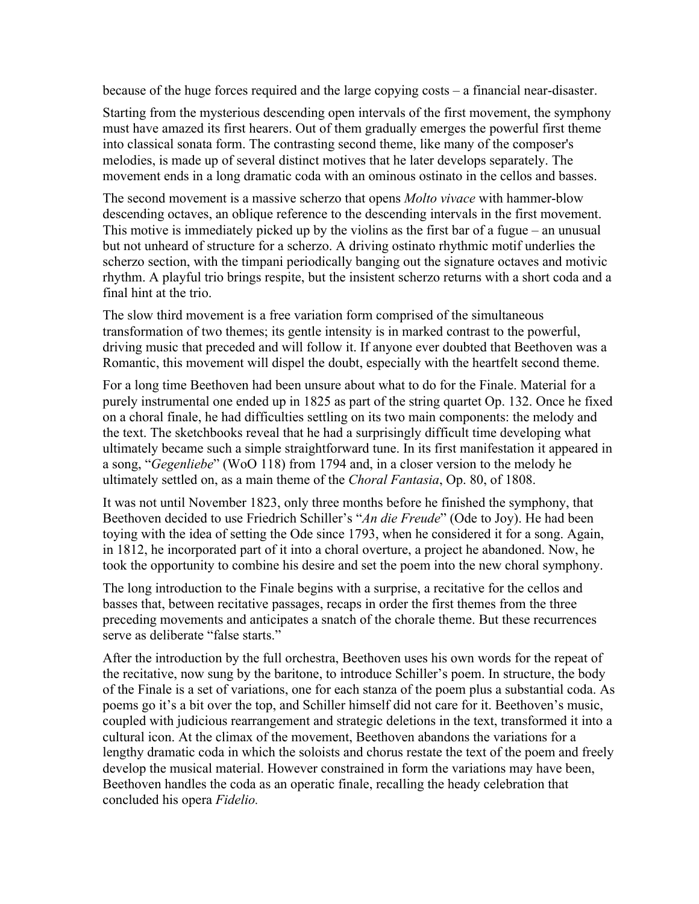because of the huge forces required and the large copying costs – a financial near-disaster.

Starting from the mysterious descending open intervals of the first movement, the symphony must have amazed its first hearers. Out of them gradually emerges the powerful first theme into classical sonata form. The contrasting second theme, like many of the composer's melodies, is made up of several distinct motives that he later develops separately. The movement ends in a long dramatic coda with an ominous ostinato in the cellos and basses.

The second movement is a massive scherzo that opens *Molto vivace* with hammer-blow descending octaves, an oblique reference to the descending intervals in the first movement. This motive is immediately picked up by the violins as the first bar of a fugue – an unusual but not unheard of structure for a scherzo. A driving ostinato rhythmic motif underlies the scherzo section, with the timpani periodically banging out the signature octaves and motivic rhythm. A playful trio brings respite, but the insistent scherzo returns with a short coda and a final hint at the trio.

The slow third movement is a free variation form comprised of the simultaneous transformation of two themes; its gentle intensity is in marked contrast to the powerful, driving music that preceded and will follow it. If anyone ever doubted that Beethoven was a Romantic, this movement will dispel the doubt, especially with the heartfelt second theme.

For a long time Beethoven had been unsure about what to do for the Finale. Material for a purely instrumental one ended up in 1825 as part of the string quartet Op. 132. Once he fixed on a choral finale, he had difficulties settling on its two main components: the melody and the text. The sketchbooks reveal that he had a surprisingly difficult time developing what ultimately became such a simple straightforward tune. In its first manifestation it appeared in a song, "*Gegenliebe*" (WoO 118) from 1794 and, in a closer version to the melody he ultimately settled on, as a main theme of the *Choral Fantasia*, Op. 80, of 1808.

It was not until November 1823, only three months before he finished the symphony, that Beethoven decided to use Friedrich Schiller's "*An die Freude*" (Ode to Joy). He had been toying with the idea of setting the Ode since 1793, when he considered it for a song. Again, in 1812, he incorporated part of it into a choral overture, a project he abandoned. Now, he took the opportunity to combine his desire and set the poem into the new choral symphony.

The long introduction to the Finale begins with a surprise, a recitative for the cellos and basses that, between recitative passages, recaps in order the first themes from the three preceding movements and anticipates a snatch of the chorale theme. But these recurrences serve as deliberate "false starts."

After the introduction by the full orchestra, Beethoven uses his own words for the repeat of the recitative, now sung by the baritone, to introduce Schiller's poem. In structure, the body of the Finale is a set of variations, one for each stanza of the poem plus a substantial coda. As poems go it's a bit over the top, and Schiller himself did not care for it. Beethoven's music, coupled with judicious rearrangement and strategic deletions in the text, transformed it into a cultural icon. At the climax of the movement, Beethoven abandons the variations for a lengthy dramatic coda in which the soloists and chorus restate the text of the poem and freely develop the musical material. However constrained in form the variations may have been, Beethoven handles the coda as an operatic finale, recalling the heady celebration that concluded his opera *Fidelio.*